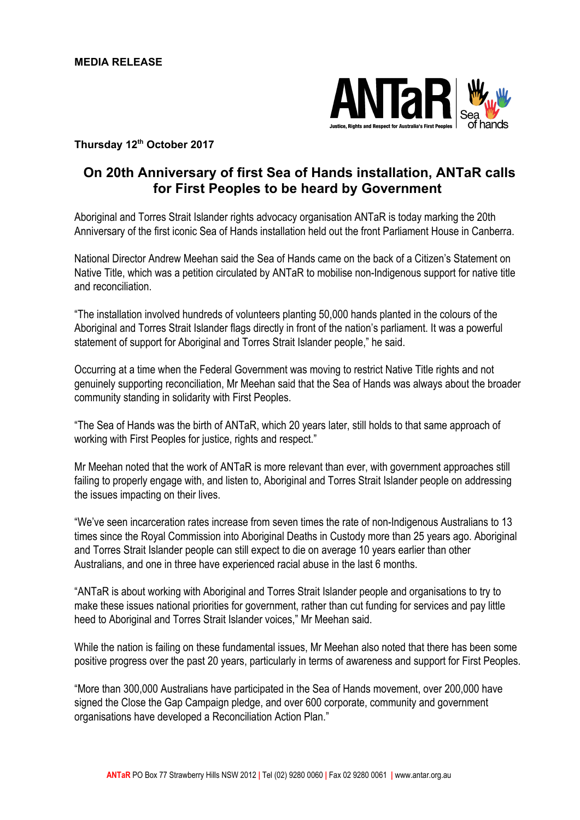

## **Thursday 12 th October 2017**

## **On 20th Anniversary of first Sea of Hands installation, ANTaR calls for First Peoples to be heard by Government**

Aboriginal and Torres Strait Islander rights advocacy organisation ANTaR is today marking the 20th Anniversary of the first iconic Sea of Hands installation held out the front Parliament House in Canberra.

National Director Andrew Meehan said the Sea of Hands came on the back of a Citizen's Statement on Native Title, which was a petition circulated by ANTaR to mobilise non-Indigenous support for native title and reconciliation.

"The installation involved hundreds of volunteers planting 50,000 hands planted in the colours of the Aboriginal and Torres Strait Islander flags directly in front of the nation's parliament. It was a powerful statement of support for Aboriginal and Torres Strait Islander people," he said.

Occurring at a time when the Federal Government was moving to restrict Native Title rights and not genuinely supporting reconciliation, Mr Meehan said that the Sea of Hands was always about the broader community standing in solidarity with First Peoples.

"The Sea of Hands was the birth of ANTaR, which 20 years later, still holds to that same approach of working with First Peoples for justice, rights and respect."

Mr Meehan noted that the work of ANTaR is more relevant than ever, with government approaches still failing to properly engage with, and listen to, Aboriginal and Torres Strait Islander people on addressing the issues impacting on their lives.

"We've seen incarceration rates increase from seven times the rate of non-Indigenous Australians to 13 times since the Royal Commission into Aboriginal Deaths in Custody more than 25 years ago. Aboriginal and Torres Strait Islander people can still expect to die on average 10 years earlier than other Australians, and one in three have experienced racial abuse in the last 6 months.

"ANTaR is about working with Aboriginal and Torres Strait Islander people and organisations to try to make these issues national priorities for government, rather than cut funding for services and pay little heed to Aboriginal and Torres Strait Islander voices," Mr Meehan said.

While the nation is failing on these fundamental issues, Mr Meehan also noted that there has been some positive progress over the past 20 years, particularly in terms of awareness and support for First Peoples.

"More than 300,000 Australians have participated in the Sea of Hands movement, over 200,000 have signed the Close the Gap Campaign pledge, and over 600 corporate, community and government organisations have developed a Reconciliation Action Plan."